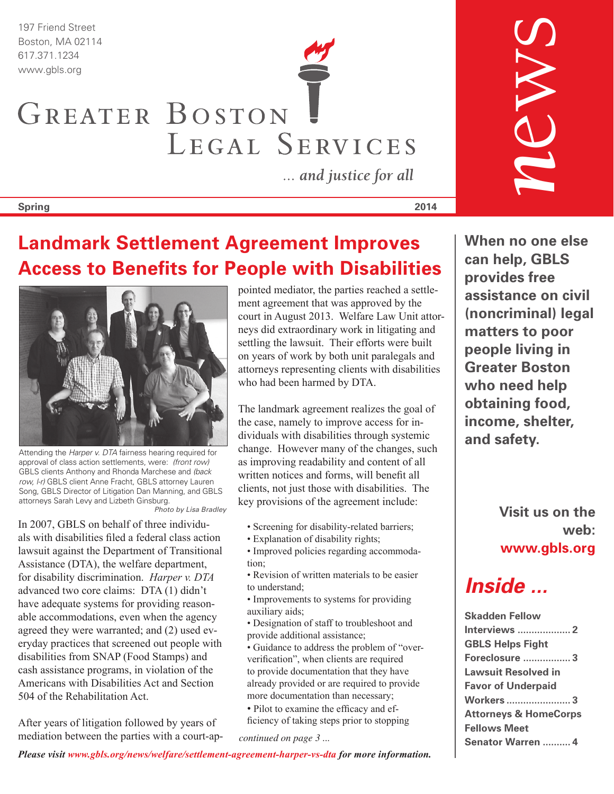197 Friend Street Boston, MA 02114

# 617.371.1234 www.gbls.org GREATER BOSTON LEGAL SERVICES

... and justice for all

#### **Spring 2014**

## **Landmark Settlement Agreement Improves Access to Benefits for People with Disabilities**



Attending the *Harper v. DTA* fairness hearing required for approval of class action settlements, were: *(front row)* GBLS clients Anthony and Rhonda Marchese and *(back row, l-r)* GBLS client Anne Fracht, GBLS attorney Lauren Song, GBLS Director of Litigation Dan Manning, and GBLS attorneys Sarah Levy and Lizbeth Ginsburg. *Photo by Lisa Bradley*

In 2007, GBLS on behalf of three individuals with disabilities filed a federal class action lawsuit against the Department of Transitional Assistance (DTA), the welfare department, for disability discrimination. *Harper v. DTA* advanced two core claims: DTA (1) didn't have adequate systems for providing reasonable accommodations, even when the agency agreed they were warranted; and (2) used everyday practices that screened out people with disabilities from SNAP (Food Stamps) and cash assistance programs, in violation of the Americans with Disabilities Act and Section 504 of the Rehabilitation Act.

After years of litigation followed by years of mediation between the parties with a court-appointed mediator, the parties reached a settlement agreement that was approved by the court in August 2013. Welfare Law Unit attorneys did extraordinary work in litigating and settling the lawsuit. Their efforts were built on years of work by both unit paralegals and attorneys representing clients with disabilities who had been harmed by DTA.

The landmark agreement realizes the goal of the case, namely to improve access for individuals with disabilities through systemic change. However many of the changes, such as improving readability and content of all written notices and forms, will benefit all clients, not just those with disabilities. The key provisions of the agreement include:

- Screening for disability-related barriers;
- Explanation of disability rights;
- Improved policies regarding accommodation;
- Revision of written materials to be easier to understand;
- Improvements to systems for providing auxiliary aids;
- Designation of staff to troubleshoot and provide additional assistance;
- Guidance to address the problem of "oververification", when clients are required to provide documentation that they have already provided or are required to provide more documentation than necessary;
- Pilot to examine the efficacy and efficiency of taking steps prior to stopping

*continued on page 3 ...*

**When no one else can help, GBLS provides free assistance on civil (noncriminal) legal matters to poor people living in Greater Boston who need help obtaining food, income, shelter, and safety.**

*n*ews

**Visit us on the web: www.gbls.org**

## *Inside ...*

| <b>Skadden Fellow</b>            |
|----------------------------------|
|                                  |
| <b>GBLS Helps Fight</b>          |
| <b>Foreclosure  3</b>            |
| <b>Lawsuit Resolved in</b>       |
| <b>Favor of Underpaid</b>        |
| <b>Workers  3</b>                |
| <b>Attorneys &amp; HomeCorps</b> |
| <b>Fellows Meet</b>              |
| Senator Warren  4                |

*Please visit www.gbls.org/news/welfare/settlement-agreement-harper-vs-dta for more information.*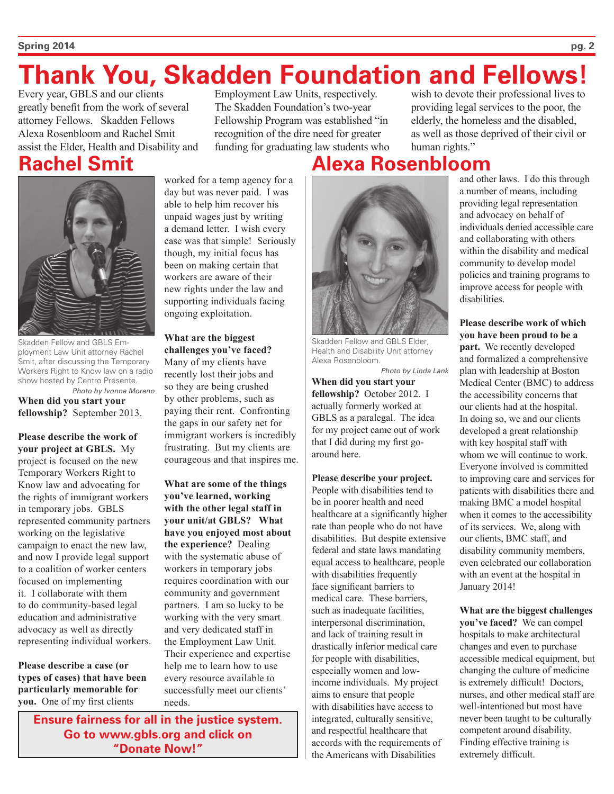#### **Spring 2014 pg. 2**

# **Thank You, Skadden Foundation and Fellows!**

Every year, GBLS and our clients greatly benefit from the work of several attorney Fellows. Skadden Fellows Alexa Rosenbloom and Rachel Smit assist the Elder, Health and Disability and

## **Rachel Smit**

Skadden Fellow and GBLS Employment Law Unit attorney Rachel Smit, after discussing the Temporary Workers Right to Know law on a radio show hosted by Centro Presente. *Photo by Ivonne Moreno*

**When did you start your fellowship?** September 2013.

**Please describe the work of your project at GBLS.** My project is focused on the new Temporary Workers Right to Know law and advocating for the rights of immigrant workers in temporary jobs. GBLS represented community partners working on the legislative campaign to enact the new law, and now I provide legal support to a coalition of worker centers focused on implementing it. I collaborate with them to do community-based legal education and administrative advocacy as well as directly representing individual workers.

**Please describe a case (or types of cases) that have been particularly memorable for you.** One of my first clients

worked for a temp agency for a day but was never paid. I was able to help him recover his unpaid wages just by writing a demand letter. I wish every case was that simple! Seriously though, my initial focus has been on making certain that workers are aware of their new rights under the law and supporting individuals facing ongoing exploitation.

**What are the biggest challenges you've faced?** Many of my clients have recently lost their jobs and so they are being crushed by other problems, such as paying their rent. Confronting the gaps in our safety net for immigrant workers is incredibly frustrating. But my clients are courageous and that inspires me.

**What are some of the things you've learned, working with the other legal staff in your unit/at GBLS? What have you enjoyed most about the experience?** Dealing with the systematic abuse of workers in temporary jobs requires coordination with our community and government partners. I am so lucky to be working with the very smart and very dedicated staff in the Employment Law Unit. Their experience and expertise help me to learn how to use every resource available to successfully meet our clients' needs.

**Ensure fairness for all in the justice system. Go to www.gbls.org and click on "Donate Now!"**

Employment Law Units, respectively. The Skadden Foundation's two-year Fellowship Program was established "in recognition of the dire need for greater funding for graduating law students who

**Alexa Rosenbloom** 



Skadden Fellow and GBLS Elder, Health and Disability Unit attorney Alexa Rosenbloom.

**When did you start your fellowship?** October 2012. I actually formerly worked at GBLS as a paralegal. The idea for my project came out of work that I did during my first goaround here. *Photo by Linda Lank*

**Please describe your project.** People with disabilities tend to be in poorer health and need healthcare at a significantly higher rate than people who do not have disabilities. But despite extensive federal and state laws mandating equal access to healthcare, people with disabilities frequently face significant barriers to medical care. These barriers, such as inadequate facilities, interpersonal discrimination, and lack of training result in drastically inferior medical care for people with disabilities, especially women and lowincome individuals. My project aims to ensure that people with disabilities have access to integrated, culturally sensitive, and respectful healthcare that accords with the requirements of the Americans with Disabilities

wish to devote their professional lives to providing legal services to the poor, the elderly, the homeless and the disabled, as well as those deprived of their civil or human rights."

> and other laws. I do this through a number of means, including providing legal representation and advocacy on behalf of individuals denied accessible care and collaborating with others within the disability and medical community to develop model policies and training programs to improve access for people with disabilities.

> **Please describe work of which you have been proud to be a part.** We recently developed and formalized a comprehensive plan with leadership at Boston Medical Center (BMC) to address the accessibility concerns that our clients had at the hospital. In doing so, we and our clients developed a great relationship with key hospital staff with whom we will continue to work. Everyone involved is committed to improving care and services for patients with disabilities there and making BMC a model hospital when it comes to the accessibility of its services. We, along with our clients, BMC staff, and disability community members, even celebrated our collaboration with an event at the hospital in January 2014!

> **What are the biggest challenges you've faced?** We can compel hospitals to make architectural changes and even to purchase accessible medical equipment, but changing the culture of medicine is extremely difficult! Doctors, nurses, and other medical staff are well-intentioned but most have never been taught to be culturally competent around disability. Finding effective training is extremely difficult.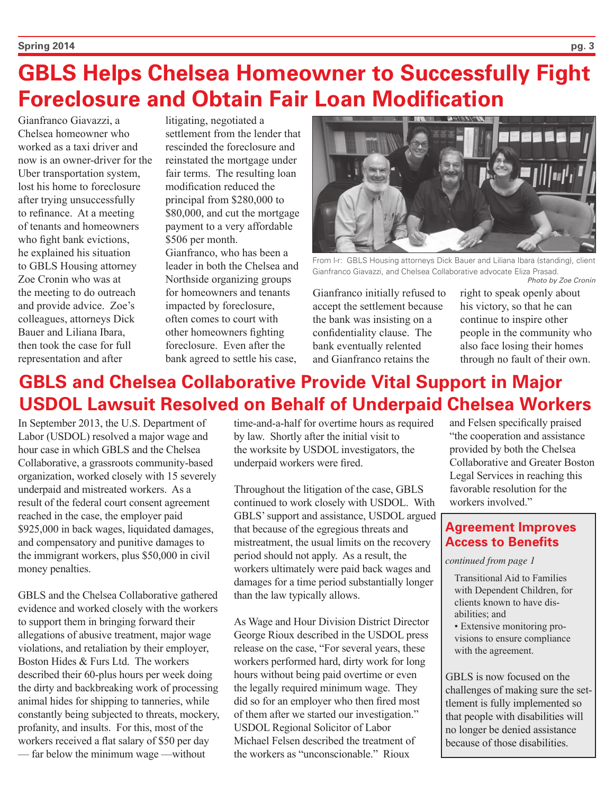# **GBLS Helps Chelsea Homeowner to Successfully Fight Foreclosure and Obtain Fair Loan Modification**

Gianfranco Giavazzi, a Chelsea homeowner who worked as a taxi driver and now is an owner-driver for the Uber transportation system, lost his home to foreclosure after trying unsuccessfully to refinance. At a meeting of tenants and homeowners who fight bank evictions. he explained his situation to GBLS Housing attorney Zoe Cronin who was at the meeting to do outreach and provide advice. Zoe's colleagues, attorneys Dick Bauer and Liliana Ibara, then took the case for full representation and after

litigating, negotiated a settlement from the lender that rescinded the foreclosure and reinstated the mortgage under fair terms. The resulting loan modification reduced the principal from \$280,000 to \$80,000, and cut the mortgage payment to a very affordable \$506 per month. Gianfranco, who has been a leader in both the Chelsea and Northside organizing groups for homeowners and tenants impacted by foreclosure, often comes to court with other homeowners fighting foreclosure. Even after the bank agreed to settle his case,



From I-r: GBLS Housing attorneys Dick Bauer and Liliana Ibara (standing), client Gianfranco Giavazzi, and Chelsea Collaborative advocate Eliza Prasad. *Photo by Zoe Cronin*

Gianfranco initially refused to accept the settlement because the bank was insisting on a confidentiality clause. The bank eventually relented and Gianfranco retains the

right to speak openly about his victory, so that he can continue to inspire other people in the community who also face losing their homes through no fault of their own.

## **GBLS and Chelsea Collaborative Provide Vital Support in Major USDOL Lawsuit Resolved on Behalf of Underpaid Chelsea Workers**

In September 2013, the U.S. Department of Labor (USDOL) resolved a major wage and hour case in which GBLS and the Chelsea Collaborative, a grassroots community-based organization, worked closely with 15 severely underpaid and mistreated workers. As a result of the federal court consent agreement reached in the case, the employer paid \$925,000 in back wages, liquidated damages, and compensatory and punitive damages to the immigrant workers, plus \$50,000 in civil money penalties.

GBLS and the Chelsea Collaborative gathered evidence and worked closely with the workers to support them in bringing forward their allegations of abusive treatment, major wage violations, and retaliation by their employer, Boston Hides & Furs Ltd. The workers described their 60-plus hours per week doing the dirty and backbreaking work of processing animal hides for shipping to tanneries, while constantly being subjected to threats, mockery, profanity, and insults. For this, most of the workers received a flat salary of \$50 per day — far below the minimum wage —without

time-and-a-half for overtime hours as required by law. Shortly after the initial visit to the worksite by USDOL investigators, the underpaid workers were fired.

Throughout the litigation of the case, GBLS continued to work closely with USDOL. With GBLS' support and assistance, USDOL argued that because of the egregious threats and mistreatment, the usual limits on the recovery period should not apply. As a result, the workers ultimately were paid back wages and damages for a time period substantially longer than the law typically allows.

As Wage and Hour Division District Director George Rioux described in the USDOL press release on the case, "For several years, these workers performed hard, dirty work for long hours without being paid overtime or even the legally required minimum wage. They did so for an employer who then fired most of them after we started our investigation." USDOL Regional Solicitor of Labor Michael Felsen described the treatment of the workers as "unconscionable." Rioux

and Felsen specifically praised "the cooperation and assistance provided by both the Chelsea Collaborative and Greater Boston Legal Services in reaching this favorable resolution for the workers involved."

### **Agreement Improves Access to Benefits**

*continued from page 1*

- Transitional Aid to Families with Dependent Children, for clients known to have disabilities; and
- Extensive monitoring provisions to ensure compliance with the agreement.

GBLS is now focused on the challenges of making sure the settlement is fully implemented so that people with disabilities will no longer be denied assistance because of those disabilities.